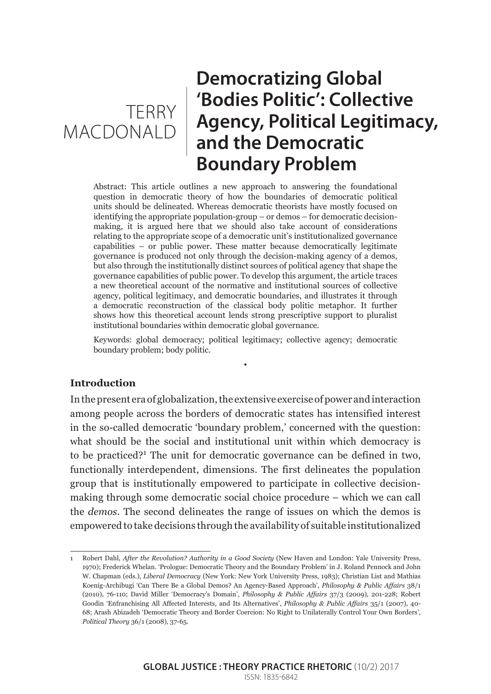# TERRY **MACDONALD**

## **Democratizing Global 'Bodies Politic': Collective Agency, Political Legitimacy, and the Democratic Boundary Problem**

Abstract: This article outlines a new approach to answering the foundational question in democratic theory of how the boundaries of democratic political units should be delineated. Whereas democratic theorists have mostly focused on identifying the appropriate population-group – or demos – for democratic decisionmaking, it is argued here that we should also take account of considerations relating to the appropriate scope of a democratic unit's institutionalized governance capabilities – or public power. These matter because democratically legitimate governance is produced not only through the decision-making agency of a demos, but also through the institutionally distinct sources of political agency that shape the governance capabilities of public power. To develop this argument, the article traces a new theoretical account of the normative and institutional sources of collective agency, political legitimacy, and democratic boundaries, and illustrates it through a democratic reconstruction of the classical body politic metaphor. It further shows how this theoretical account lends strong prescriptive support to pluralist institutional boundaries within democratic global governance.

Keywords: global democracy; political legitimacy; collective agency; democratic boundary problem; body politic.

•

#### **Introduction**

In the present era of globalization, the extensive exercise of power and interaction among people across the borders of democratic states has intensified interest in the so-called democratic 'boundary problem,' concerned with the question: what should be the social and institutional unit within which democracy is to be practiced?<sup>1</sup> The unit for democratic governance can be defined in two, functionally interdependent, dimensions. The first delineates the population group that is institutionally empowered to participate in collective decisionmaking through some democratic social choice procedure – which we can call the *demos*. The second delineates the range of issues on which the demos is empowered to take decisions through the availability of suitable institutionalized

<sup>1</sup> Robert Dahl, *After the Revolution? Authority in a Good Society* (New Haven and London: Yale University Press, 1970); Frederick Whelan. 'Prologue: Democratic Theory and the Boundary Problem' in J. Roland Pennock and John W. Chapman (eds.), *Liberal Democracy* (New York: New York University Press, 1983); Christian List and Mathias Koenig-Archibugi 'Can There Be a Global Demos? An Agency-Based Approach', *Philosophy & Public Affairs* 38/1 (2010), 76-110; David Miller 'Democracy's Domain', *Philosophy & Public Affairs* 37/3 (2009), 201-228; Robert Goodin 'Enfranchising All Affected Interests, and Its Alternatives', *Philosophy & Public Affairs* 35/1 (2007), 40- 68; Arash Abizadeh 'Democratic Theory and Border Coercion: No Right to Unilaterally Control Your Own Borders', *Political Theory* 36/1 (2008), 37-65.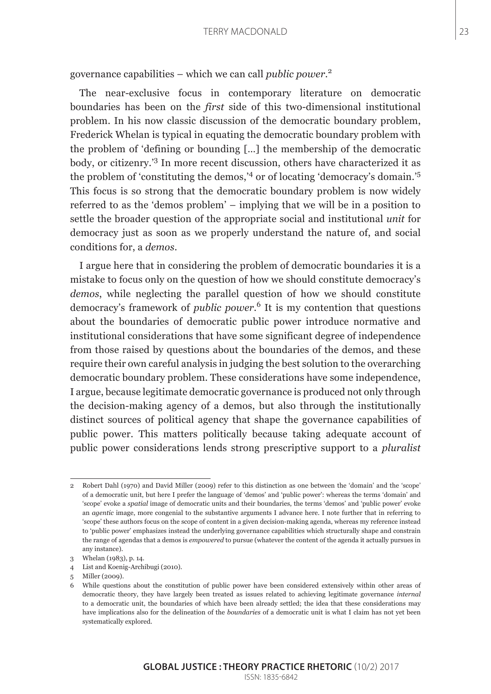governance capabilities – which we can call *public power*. 2

The near-exclusive focus in contemporary literature on democratic boundaries has been on the *first* side of this two-dimensional institutional problem. In his now classic discussion of the democratic boundary problem, Frederick Whelan is typical in equating the democratic boundary problem with the problem of 'defining or bounding […] the membership of the democratic body, or citizenry.'<sup>3</sup> In more recent discussion, others have characterized it as the problem of 'constituting the demos,'4 or of locating 'democracy's domain.'5 This focus is so strong that the democratic boundary problem is now widely referred to as the 'demos problem' – implying that we will be in a position to settle the broader question of the appropriate social and institutional *unit* for democracy just as soon as we properly understand the nature of, and social conditions for, a *demos*.

I argue here that in considering the problem of democratic boundaries it is a mistake to focus only on the question of how we should constitute democracy's *demos*, while neglecting the parallel question of how we should constitute democracy's framework of *public power*. 6 It is my contention that questions about the boundaries of democratic public power introduce normative and institutional considerations that have some significant degree of independence from those raised by questions about the boundaries of the demos, and these require their own careful analysis in judging the best solution to the overarching democratic boundary problem. These considerations have some independence, I argue, because legitimate democratic governance is produced not only through the decision-making agency of a demos, but also through the institutionally distinct sources of political agency that shape the governance capabilities of public power. This matters politically because taking adequate account of public power considerations lends strong prescriptive support to a *pluralist*

<sup>2</sup> Robert Dahl (1970) and David Miller (2009) refer to this distinction as one between the 'domain' and the 'scope' of a democratic unit, but here I prefer the language of 'demos' and 'public power': whereas the terms 'domain' and 'scope' evoke a *spatial* image of democratic units and their boundaries, the terms 'demos' and 'public power' evoke an *agentic* image, more congenial to the substantive arguments I advance here. I note further that in referring to 'scope' these authors focus on the scope of content in a given decision-making agenda, whereas my reference instead to 'public power' emphasizes instead the underlying governance capabilities which structurally shape and constrain the range of agendas that a demos is *empowered* to pursue (whatever the content of the agenda it actually pursues in any instance).

<sup>3</sup> Whelan (1983), p. 14.

<sup>4</sup> List and Koenig-Archibugi (2010).

<sup>5</sup> Miller (2009).

<sup>6</sup> While questions about the constitution of public power have been considered extensively within other areas of democratic theory, they have largely been treated as issues related to achieving legitimate governance *internal* to a democratic unit, the boundaries of which have been already settled; the idea that these considerations may have implications also for the delineation of the *boundaries* of a democratic unit is what I claim has not yet been systematically explored.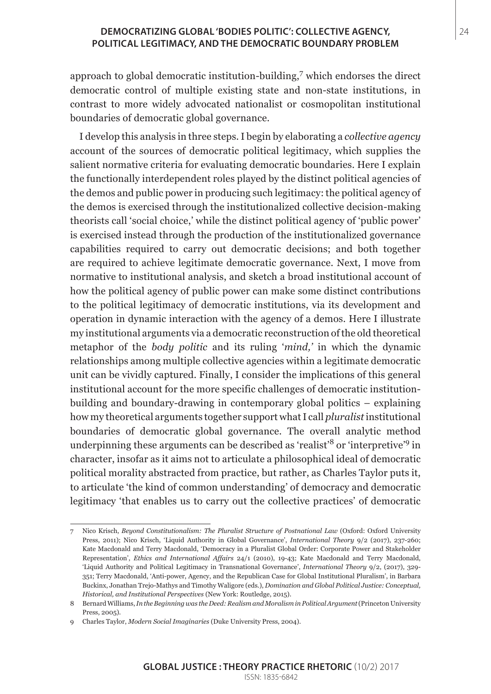#### **DEMOCRATIZING GLOBAL 'BODIES POLITIC': COLLECTIVE AGENCY,** 24 **POLITICAL LEGITIMACY, AND THE DEMOCRATIC BOUNDARY PROBLEM**

approach to global democratic institution-building,<sup>7</sup> which endorses the direct democratic control of multiple existing state and non-state institutions, in contrast to more widely advocated nationalist or cosmopolitan institutional boundaries of democratic global governance.

I develop this analysis in three steps. I begin by elaborating a *collective agency* account of the sources of democratic political legitimacy, which supplies the salient normative criteria for evaluating democratic boundaries. Here I explain the functionally interdependent roles played by the distinct political agencies of the demos and public power in producing such legitimacy: the political agency of the demos is exercised through the institutionalized collective decision-making theorists call 'social choice,' while the distinct political agency of 'public power' is exercised instead through the production of the institutionalized governance capabilities required to carry out democratic decisions; and both together are required to achieve legitimate democratic governance. Next, I move from normative to institutional analysis, and sketch a broad institutional account of how the political agency of public power can make some distinct contributions to the political legitimacy of democratic institutions, via its development and operation in dynamic interaction with the agency of a demos. Here I illustrate my institutional arguments via a democratic reconstruction of the old theoretical metaphor of the *body politic* and its ruling '*mind,'* in which the dynamic relationships among multiple collective agencies within a legitimate democratic unit can be vividly captured. Finally, I consider the implications of this general institutional account for the more specific challenges of democratic institutionbuilding and boundary-drawing in contemporary global politics – explaining how my theoretical arguments together support what I call *pluralist* institutional boundaries of democratic global governance. The overall analytic method underpinning these arguments can be described as 'realist'8 or 'interpretive'9 in character, insofar as it aims not to articulate a philosophical ideal of democratic political morality abstracted from practice, but rather, as Charles Taylor puts it, to articulate 'the kind of common understanding' of democracy and democratic legitimacy 'that enables us to carry out the collective practices' of democratic

<sup>7</sup> Nico Krisch, *Beyond Constitutionalism: The Pluralist Structure of Postnational Law* (Oxford: Oxford University Press, 2011); Nico Krisch, 'Liquid Authority in Global Governance', *International Theory* 9/2 (2017), 237-260; Kate Macdonald and Terry Macdonald, 'Democracy in a Pluralist Global Order: Corporate Power and Stakeholder Representation', *Ethics and International Affairs* 24/1 (2010), 19-43; Kate Macdonald and Terry Macdonald, 'Liquid Authority and Political Legitimacy in Transnational Governance', *International Theory* 9/2, (2017), 329- 351; Terry Macdonald, 'Anti-power, Agency, and the Republican Case for Global Institutional Pluralism', in Barbara Buckinx, Jonathan Trejo-Mathys and Timothy Waligore (eds.), *Domination and Global Political Justice: Conceptual, Historical, and Institutional Perspectives* (New York: Routledge, 2015).

<sup>8</sup> Bernard Williams, *In the Beginning was the Deed: Realism and Moralism in Political Argument* (Princeton University Press, 2005).

<sup>9</sup> Charles Taylor, *Modern Social Imaginaries* (Duke University Press, 2004).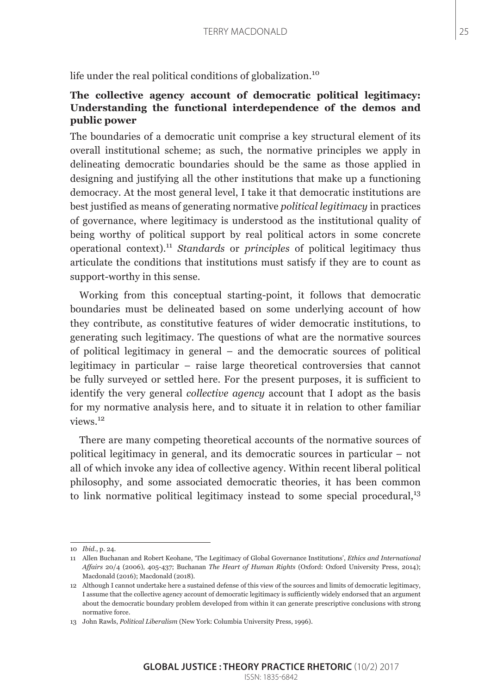life under the real political conditions of globalization.<sup>10</sup>

## **The collective agency account of democratic political legitimacy: Understanding the functional interdependence of the demos and public power**

The boundaries of a democratic unit comprise a key structural element of its overall institutional scheme; as such, the normative principles we apply in delineating democratic boundaries should be the same as those applied in designing and justifying all the other institutions that make up a functioning democracy. At the most general level, I take it that democratic institutions are best justified as means of generating normative *political legitimacy* in practices of governance, where legitimacy is understood as the institutional quality of being worthy of political support by real political actors in some concrete operational context).<sup>11</sup> *Standards* or *principles* of political legitimacy thus articulate the conditions that institutions must satisfy if they are to count as support-worthy in this sense.

Working from this conceptual starting-point, it follows that democratic boundaries must be delineated based on some underlying account of how they contribute, as constitutive features of wider democratic institutions, to generating such legitimacy. The questions of what are the normative sources of political legitimacy in general – and the democratic sources of political legitimacy in particular – raise large theoretical controversies that cannot be fully surveyed or settled here. For the present purposes, it is sufficient to identify the very general *collective agency* account that I adopt as the basis for my normative analysis here, and to situate it in relation to other familiar views.<sup>12</sup>

There are many competing theoretical accounts of the normative sources of political legitimacy in general, and its democratic sources in particular – not all of which invoke any idea of collective agency. Within recent liberal political philosophy, and some associated democratic theories, it has been common to link normative political legitimacy instead to some special procedural,<sup>13</sup>

<sup>10</sup> *Ibid*., p. 24.

<sup>11</sup> Allen Buchanan and Robert Keohane, 'The Legitimacy of Global Governance Institutions', *Ethics and International Affairs* 20/4 (2006), 405-437; Buchanan *The Heart of Human Rights* (Oxford: Oxford University Press, 2014); Macdonald (2016); Macdonald (2018).

<sup>12</sup> Although I cannot undertake here a sustained defense of this view of the sources and limits of democratic legitimacy, I assume that the collective agency account of democratic legitimacy is sufficiently widely endorsed that an argument about the democratic boundary problem developed from within it can generate prescriptive conclusions with strong normative force.

<sup>13</sup> John Rawls, *Political Liberalism* (New York: Columbia University Press, 1996).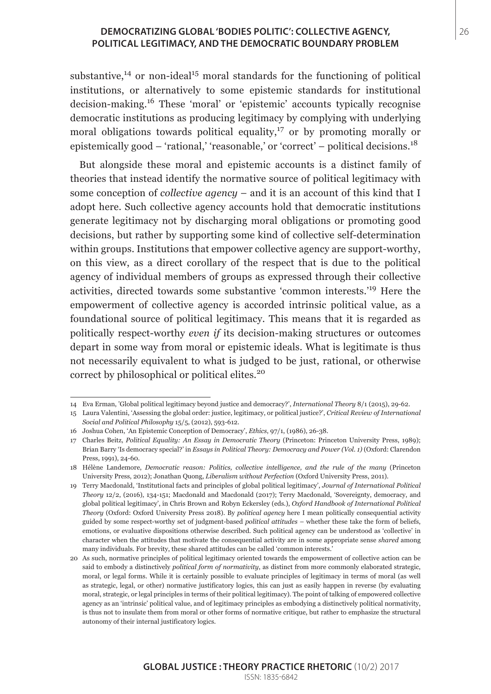#### **DEMOCRATIZING GLOBAL 'BODIES POLITIC': COLLECTIVE AGENCY,** 26 **POLITICAL LEGITIMACY, AND THE DEMOCRATIC BOUNDARY PROBLEM**

substantive,<sup>14</sup> or non-ideal<sup>15</sup> moral standards for the functioning of political institutions, or alternatively to some epistemic standards for institutional decision-making.16 These 'moral' or 'epistemic' accounts typically recognise democratic institutions as producing legitimacy by complying with underlying moral obligations towards political equality, $^{17}$  or by promoting morally or epistemically good – 'rational,' 'reasonable,' or 'correct' – political decisions.<sup>18</sup>

But alongside these moral and epistemic accounts is a distinct family of theories that instead identify the normative source of political legitimacy with some conception of *collective agency* – and it is an account of this kind that I adopt here. Such collective agency accounts hold that democratic institutions generate legitimacy not by discharging moral obligations or promoting good decisions, but rather by supporting some kind of collective self-determination within groups. Institutions that empower collective agency are support-worthy, on this view, as a direct corollary of the respect that is due to the political agency of individual members of groups as expressed through their collective activities, directed towards some substantive 'common interests.'19 Here the empowerment of collective agency is accorded intrinsic political value, as a foundational source of political legitimacy. This means that it is regarded as politically respect-worthy *even if* its decision-making structures or outcomes depart in some way from moral or epistemic ideals. What is legitimate is thus not necessarily equivalent to what is judged to be just, rational, or otherwise correct by philosophical or political elites.<sup>20</sup>

<sup>14</sup> Eva Erman, 'Global political legitimacy beyond justice and democracy?', *International Theory* 8/1 (2015), 29-62.

<sup>15</sup> Laura Valentini, 'Assessing the global order: justice, legitimacy, or political justice?', *Critical Review of International Social and Political Philosophy* 15/5, (2012), 593-612.

<sup>16</sup> Joshua Cohen, 'An Epistemic Conception of Democracy', *Ethics*, 97/1, (1986), 26-38.

<sup>17</sup> Charles Beitz, *Political Equality: An Essay in Democratic Theory* (Princeton: Princeton University Press, 1989); Brian Barry 'Is democracy special?' in *Essays in Political Theory: Democracy and Power (Vol. 1)* (Oxford: Clarendon Press, 1991), 24-60.

<sup>18</sup> Hélène Landemore, *Democratic reason: Politics, collective intelligence, and the rule of the many* (Princeton University Press, 2012); Jonathan Quong, *Liberalism without Perfection* (Oxford University Press, 2011).

<sup>19</sup> Terry Macdonald, 'Institutional facts and principles of global political legitimacy', *Journal of International Political Theory* 12/2, (2016), 134-151; Macdonald and Macdonald (2017); Terry Macdonald, 'Sovereignty, democracy, and global political legitimacy', in Chris Brown and Robyn Eckersley (eds.), *Oxford Handbook of International Political Theory* (Oxford: Oxford University Press 2018). By *political agency* here I mean politically consequential activity guided by some respect-worthy set of judgment-based *political attitudes* – whether these take the form of beliefs, emotions, or evaluative dispositions otherwise described. Such political agency can be understood as 'collective' in character when the attitudes that motivate the consequential activity are in some appropriate sense *shared* among many individuals. For brevity, these shared attitudes can be called 'common interests.'

<sup>20</sup> As such, normative principles of political legitimacy oriented towards the empowerment of collective action can be said to embody a distinctively *political form of normativity*, as distinct from more commonly elaborated strategic, moral, or legal forms. While it is certainly possible to evaluate principles of legitimacy in terms of moral (as well as strategic, legal, or other) normative justificatory logics, this can just as easily happen in reverse (by evaluating moral, strategic, or legal principles in terms of their political legitimacy). The point of talking of empowered collective agency as an 'intrinsic' political value, and of legitimacy principles as embodying a distinctively political normativity, is thus not to insulate them from moral or other forms of normative critique, but rather to emphasize the structural autonomy of their internal justificatory logics.

**GLOBAL JUSTICE : THEORY PRACTICE RHETORIC** (10/2) 2017 ISSN: 1835-6842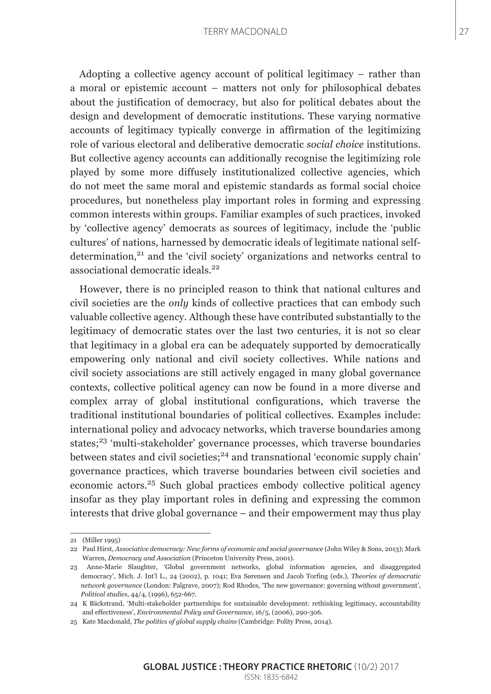#### TERRY MACDONALD 27

Adopting a collective agency account of political legitimacy – rather than a moral or epistemic account – matters not only for philosophical debates about the justification of democracy, but also for political debates about the design and development of democratic institutions. These varying normative accounts of legitimacy typically converge in affirmation of the legitimizing role of various electoral and deliberative democratic *social choice* institutions. But collective agency accounts can additionally recognise the legitimizing role played by some more diffusely institutionalized collective agencies, which do not meet the same moral and epistemic standards as formal social choice procedures, but nonetheless play important roles in forming and expressing common interests within groups. Familiar examples of such practices, invoked by 'collective agency' democrats as sources of legitimacy, include the 'public cultures' of nations, harnessed by democratic ideals of legitimate national selfdetermination,<sup>21</sup> and the 'civil society' organizations and networks central to associational democratic ideals.<sup>22</sup>

However, there is no principled reason to think that national cultures and civil societies are the *only* kinds of collective practices that can embody such valuable collective agency. Although these have contributed substantially to the legitimacy of democratic states over the last two centuries, it is not so clear that legitimacy in a global era can be adequately supported by democratically empowering only national and civil society collectives. While nations and civil society associations are still actively engaged in many global governance contexts, collective political agency can now be found in a more diverse and complex array of global institutional configurations, which traverse the traditional institutional boundaries of political collectives. Examples include: international policy and advocacy networks, which traverse boundaries among states;<sup>23</sup> 'multi-stakeholder' governance processes, which traverse boundaries between states and civil societies; $^{24}$  and transnational 'economic supply chain' governance practices, which traverse boundaries between civil societies and economic actors.25 Such global practices embody collective political agency insofar as they play important roles in defining and expressing the common interests that drive global governance – and their empowerment may thus play

<sup>21 (</sup>Miller 1995)

<sup>22</sup> Paul Hirst, *Associative democracy: New forms of economic and social governance* (John Wiley & Sons, 2013); Mark Warren, *Democracy and Association* (Princeton University Press, 2001).

<sup>23</sup> Anne-Marie Slaughter, 'Global government networks, global information agencies, and disaggregated democracy', Mich. J. Int'l L., 24 (2002), p. 1041; Eva Sørensen and Jacob Torfing (eds.), *Theories of democratic network governance* (London: Palgrave, 2007); Rod Rhodes, 'The new governance: governing without government', *Political studies*, 44/4, (1996), 652-667.

<sup>24</sup> K Bäckstrand, 'Multi-stakeholder partnerships for sustainable development: rethinking legitimacy, accountability and effectiveness', *Environmental Policy and Governance*, 16/5, (2006), 290-306.

<sup>25</sup> Kate Macdonald, *The politics of global supply chains* (Cambridge: Polity Press, 2014).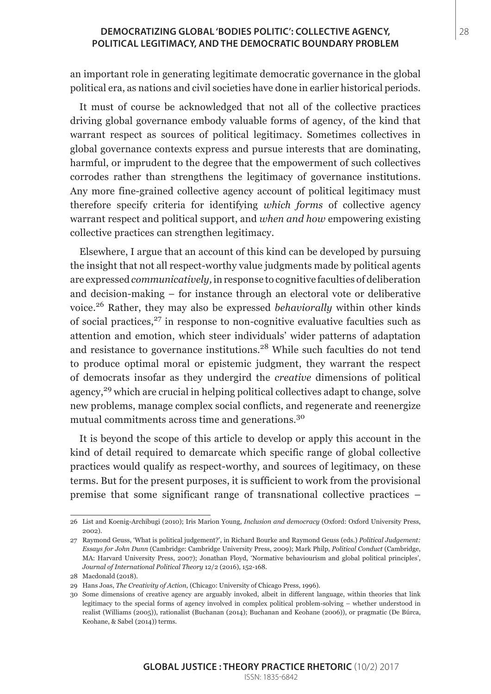#### **DEMOCRATIZING GLOBAL 'BODIES POLITIC': COLLECTIVE AGENCY,** 28 **POLITICAL LEGITIMACY, AND THE DEMOCRATIC BOUNDARY PROBLEM**

an important role in generating legitimate democratic governance in the global political era, as nations and civil societies have done in earlier historical periods.

It must of course be acknowledged that not all of the collective practices driving global governance embody valuable forms of agency, of the kind that warrant respect as sources of political legitimacy. Sometimes collectives in global governance contexts express and pursue interests that are dominating, harmful, or imprudent to the degree that the empowerment of such collectives corrodes rather than strengthens the legitimacy of governance institutions. Any more fine-grained collective agency account of political legitimacy must therefore specify criteria for identifying *which forms* of collective agency warrant respect and political support, and *when and how* empowering existing collective practices can strengthen legitimacy.

Elsewhere, I argue that an account of this kind can be developed by pursuing the insight that not all respect-worthy value judgments made by political agents are expressed *communicatively,* in response to cognitive faculties of deliberation and decision-making – for instance through an electoral vote or deliberative voice.26 Rather, they may also be expressed *behaviorally* within other kinds of social practices, $27$  in response to non-cognitive evaluative faculties such as attention and emotion, which steer individuals' wider patterns of adaptation and resistance to governance institutions.28 While such faculties do not tend to produce optimal moral or epistemic judgment, they warrant the respect of democrats insofar as they undergird the *creative* dimensions of political agency,<sup>29</sup> which are crucial in helping political collectives adapt to change, solve new problems, manage complex social conflicts, and regenerate and reenergize mutual commitments across time and generations.<sup>30</sup>

It is beyond the scope of this article to develop or apply this account in the kind of detail required to demarcate which specific range of global collective practices would qualify as respect-worthy, and sources of legitimacy, on these terms. But for the present purposes, it is sufficient to work from the provisional premise that some significant range of transnational collective practices –

<sup>26</sup> List and Koenig-Archibugi (2010); Iris Marion Young, *Inclusion and democracy* (Oxford: Oxford University Press, 2002).

<sup>27</sup> Raymond Geuss, 'What is political judgement?', in Richard Bourke and Raymond Geuss (eds.) *Political Judgement: Essays for John Dunn* (Cambridge: Cambridge University Press, 2009); Mark Philp, *Political Conduct* (Cambridge, MA: Harvard University Press, 2007); Jonathan Floyd, 'Normative behaviourism and global political principles', *Journal of International Political Theory* 12/2 (2016), 152-168.

<sup>28</sup> Macdonald (2018).

<sup>29</sup> Hans Joas, *The Creativity of Action*, (Chicago: University of Chicago Press, 1996).

<sup>30</sup> Some dimensions of creative agency are arguably invoked, albeit in different language, within theories that link legitimacy to the special forms of agency involved in complex political problem-solving – whether understood in realist (Williams (2005)), rationalist (Buchanan (2014); Buchanan and Keohane (2006)), or pragmatic (De Búrca, Keohane, & Sabel (2014)) terms.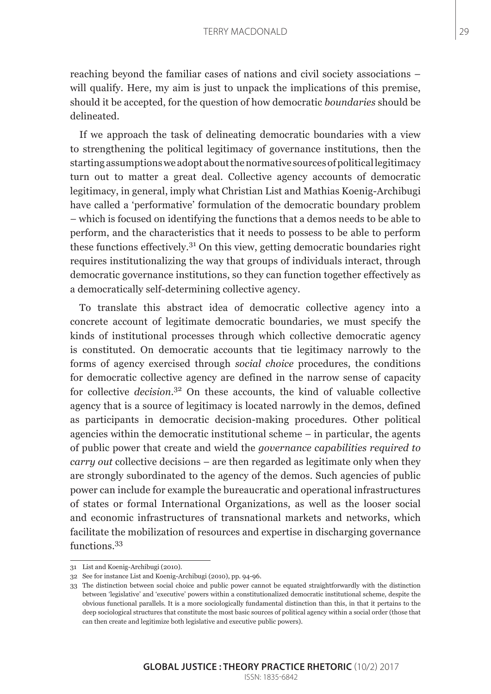reaching beyond the familiar cases of nations and civil society associations – will qualify. Here, my aim is just to unpack the implications of this premise, should it be accepted, for the question of how democratic *boundaries* should be delineated.

If we approach the task of delineating democratic boundaries with a view to strengthening the political legitimacy of governance institutions, then the starting assumptions we adopt about the normative sources of political legitimacy turn out to matter a great deal. Collective agency accounts of democratic legitimacy, in general, imply what Christian List and Mathias Koenig-Archibugi have called a 'performative' formulation of the democratic boundary problem – which is focused on identifying the functions that a demos needs to be able to perform, and the characteristics that it needs to possess to be able to perform these functions effectively.31 On this view, getting democratic boundaries right requires institutionalizing the way that groups of individuals interact, through democratic governance institutions, so they can function together effectively as a democratically self-determining collective agency.

To translate this abstract idea of democratic collective agency into a concrete account of legitimate democratic boundaries, we must specify the kinds of institutional processes through which collective democratic agency is constituted. On democratic accounts that tie legitimacy narrowly to the forms of agency exercised through *social choice* procedures, the conditions for democratic collective agency are defined in the narrow sense of capacity for collective *decision*. 32 On these accounts, the kind of valuable collective agency that is a source of legitimacy is located narrowly in the demos, defined as participants in democratic decision-making procedures. Other political agencies within the democratic institutional scheme – in particular, the agents of public power that create and wield the *governance capabilities required to carry out* collective decisions – are then regarded as legitimate only when they are strongly subordinated to the agency of the demos. Such agencies of public power can include for example the bureaucratic and operational infrastructures of states or formal International Organizations, as well as the looser social and economic infrastructures of transnational markets and networks, which facilitate the mobilization of resources and expertise in discharging governance functions.<sup>33</sup>

<sup>31</sup> List and Koenig-Archibugi (2010).

<sup>32</sup> See for instance List and Koenig-Archibugi (2010), pp. 94-96.

<sup>33</sup> The distinction between social choice and public power cannot be equated straightforwardly with the distinction between 'legislative' and 'executive' powers within a constitutionalized democratic institutional scheme, despite the obvious functional parallels. It is a more sociologically fundamental distinction than this, in that it pertains to the deep sociological structures that constitute the most basic sources of political agency within a social order (those that can then create and legitimize both legislative and executive public powers).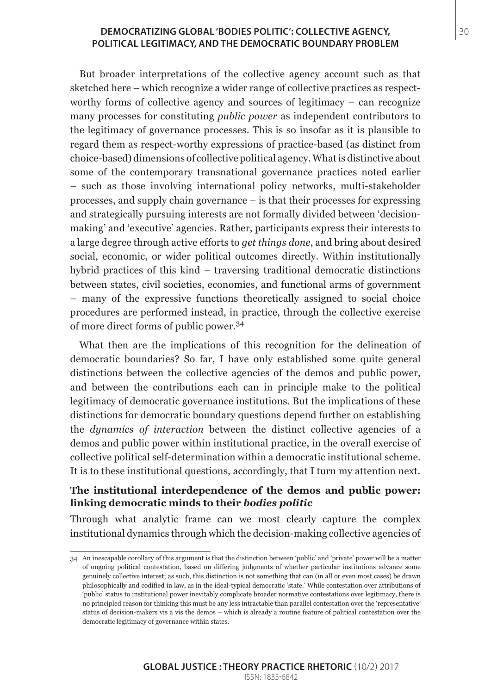#### **DEMOCRATIZING GLOBAL 'BODIES POLITIC': COLLECTIVE AGENCY,**  $|30|$ **POLITICAL LEGITIMACY, AND THE DEMOCRATIC BOUNDARY PROBLEM**

But broader interpretations of the collective agency account such as that sketched here – which recognize a wider range of collective practices as respectworthy forms of collective agency and sources of legitimacy – can recognize many processes for constituting *public power* as independent contributors to the legitimacy of governance processes. This is so insofar as it is plausible to regard them as respect-worthy expressions of practice-based (as distinct from choice-based) dimensions of collective political agency. What is distinctive about some of the contemporary transnational governance practices noted earlier – such as those involving international policy networks, multi-stakeholder processes, and supply chain governance – is that their processes for expressing and strategically pursuing interests are not formally divided between 'decisionmaking' and 'executive' agencies. Rather, participants express their interests to a large degree through active efforts to *get things done*, and bring about desired social, economic, or wider political outcomes directly. Within institutionally hybrid practices of this kind – traversing traditional democratic distinctions between states, civil societies, economies, and functional arms of government – many of the expressive functions theoretically assigned to social choice procedures are performed instead, in practice, through the collective exercise of more direct forms of public power.<sup>34</sup>

What then are the implications of this recognition for the delineation of democratic boundaries? So far, I have only established some quite general distinctions between the collective agencies of the demos and public power, and between the contributions each can in principle make to the political legitimacy of democratic governance institutions. But the implications of these distinctions for democratic boundary questions depend further on establishing the *dynamics of interaction* between the distinct collective agencies of a demos and public power within institutional practice, in the overall exercise of collective political self-determination within a democratic institutional scheme. It is to these institutional questions, accordingly, that I turn my attention next.

#### **The institutional interdependence of the demos and public power: linking democratic minds to their** *bodies politic*

Through what analytic frame can we most clearly capture the complex institutional dynamics through which the decision-making collective agencies of

<sup>34</sup> An inescapable corollary of this argument is that the distinction between 'public' and 'private' power will be a matter of ongoing political contestation, based on differing judgments of whether particular institutions advance some genuinely collective interest; as such, this distinction is not something that can (in all or even most cases) be drawn philosophically and codified in law, as in the ideal-typical democratic 'state.' While contestation over attributions of 'public' status to institutional power inevitably complicate broader normative contestations over legitimacy, there is no principled reason for thinking this must be any less intractable than parallel contestation over the 'representative' status of decision-makers vis a vis the demos – which is already a routine feature of political contestation over the democratic legitimacy of governance within states.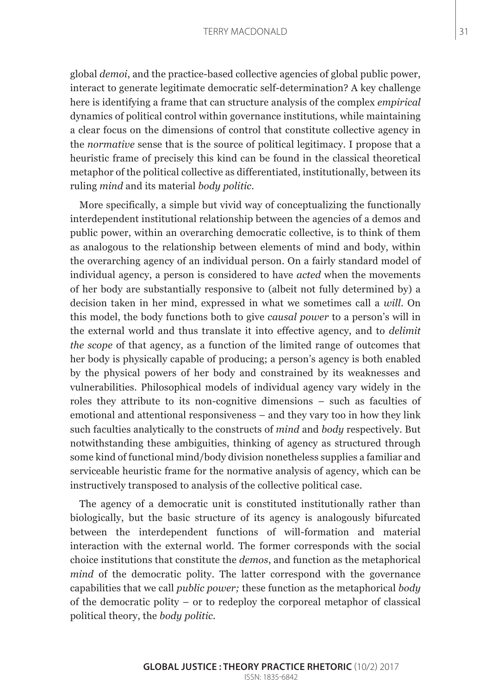#### TERRY MACDONALD 31

global *demoi*, and the practice-based collective agencies of global public power, interact to generate legitimate democratic self-determination? A key challenge here is identifying a frame that can structure analysis of the complex *empirical* dynamics of political control within governance institutions, while maintaining a clear focus on the dimensions of control that constitute collective agency in the *normative* sense that is the source of political legitimacy. I propose that a heuristic frame of precisely this kind can be found in the classical theoretical metaphor of the political collective as differentiated, institutionally, between its ruling *mind* and its material *body politic*.

More specifically, a simple but vivid way of conceptualizing the functionally interdependent institutional relationship between the agencies of a demos and public power, within an overarching democratic collective, is to think of them as analogous to the relationship between elements of mind and body, within the overarching agency of an individual person. On a fairly standard model of individual agency, a person is considered to have *acted* when the movements of her body are substantially responsive to (albeit not fully determined by) a decision taken in her mind, expressed in what we sometimes call a *will*. On this model, the body functions both to give *causal power* to a person's will in the external world and thus translate it into effective agency, and to *delimit the scope* of that agency, as a function of the limited range of outcomes that her body is physically capable of producing; a person's agency is both enabled by the physical powers of her body and constrained by its weaknesses and vulnerabilities. Philosophical models of individual agency vary widely in the roles they attribute to its non-cognitive dimensions – such as faculties of emotional and attentional responsiveness – and they vary too in how they link such faculties analytically to the constructs of *mind* and *body* respectively. But notwithstanding these ambiguities, thinking of agency as structured through some kind of functional mind/body division nonetheless supplies a familiar and serviceable heuristic frame for the normative analysis of agency, which can be instructively transposed to analysis of the collective political case.

The agency of a democratic unit is constituted institutionally rather than biologically, but the basic structure of its agency is analogously bifurcated between the interdependent functions of will-formation and material interaction with the external world. The former corresponds with the social choice institutions that constitute the *demos*, and function as the metaphorical *mind* of the democratic polity. The latter correspond with the governance capabilities that we call *public power;* these function as the metaphorical *body* of the democratic polity – or to redeploy the corporeal metaphor of classical political theory, the *body politic.*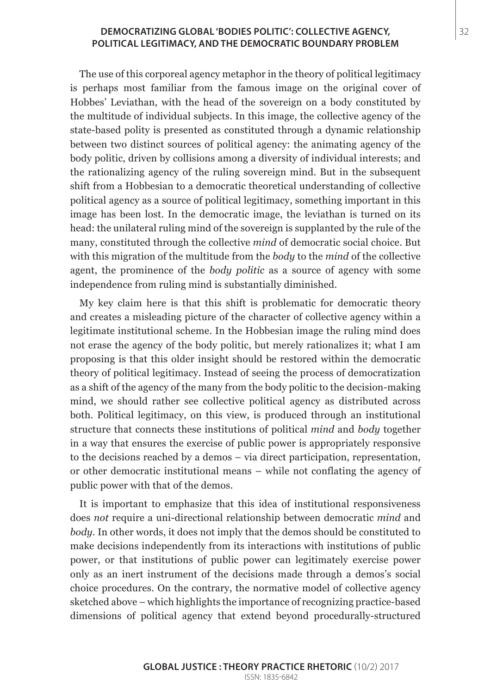#### **DEMOCRATIZING GLOBAL 'BODIES POLITIC': COLLECTIVE AGENCY,** 32 **POLITICAL LEGITIMACY, AND THE DEMOCRATIC BOUNDARY PROBLEM**

The use of this corporeal agency metaphor in the theory of political legitimacy is perhaps most familiar from the famous image on the original cover of Hobbes' Leviathan, with the head of the sovereign on a body constituted by the multitude of individual subjects. In this image, the collective agency of the state-based polity is presented as constituted through a dynamic relationship between two distinct sources of political agency: the animating agency of the body politic, driven by collisions among a diversity of individual interests; and the rationalizing agency of the ruling sovereign mind. But in the subsequent shift from a Hobbesian to a democratic theoretical understanding of collective political agency as a source of political legitimacy, something important in this image has been lost. In the democratic image, the leviathan is turned on its head: the unilateral ruling mind of the sovereign is supplanted by the rule of the many, constituted through the collective *mind* of democratic social choice. But with this migration of the multitude from the *body* to the *mind* of the collective agent, the prominence of the *body politic* as a source of agency with some independence from ruling mind is substantially diminished.

My key claim here is that this shift is problematic for democratic theory and creates a misleading picture of the character of collective agency within a legitimate institutional scheme. In the Hobbesian image the ruling mind does not erase the agency of the body politic, but merely rationalizes it; what I am proposing is that this older insight should be restored within the democratic theory of political legitimacy. Instead of seeing the process of democratization as a shift of the agency of the many from the body politic to the decision-making mind, we should rather see collective political agency as distributed across both. Political legitimacy, on this view, is produced through an institutional structure that connects these institutions of political *mind* and *body* together in a way that ensures the exercise of public power is appropriately responsive to the decisions reached by a demos – via direct participation, representation, or other democratic institutional means – while not conflating the agency of public power with that of the demos.

It is important to emphasize that this idea of institutional responsiveness does *not* require a uni-directional relationship between democratic *mind* and *body*. In other words, it does not imply that the demos should be constituted to make decisions independently from its interactions with institutions of public power, or that institutions of public power can legitimately exercise power only as an inert instrument of the decisions made through a demos's social choice procedures. On the contrary, the normative model of collective agency sketched above – which highlights the importance of recognizing practice-based dimensions of political agency that extend beyond procedurally-structured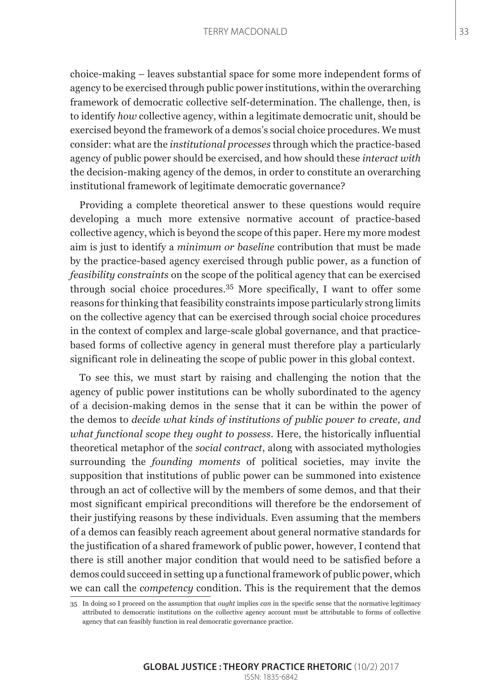#### TERRY MACDONALD 33

choice-making – leaves substantial space for some more independent forms of agency to be exercised through public power institutions, within the overarching framework of democratic collective self-determination. The challenge, then, is to identify *how* collective agency, within a legitimate democratic unit, should be exercised beyond the framework of a demos's social choice procedures. We must consider: what are the *institutional processes* through which the practice-based agency of public power should be exercised, and how should these *interact with* the decision-making agency of the demos, in order to constitute an overarching institutional framework of legitimate democratic governance?

Providing a complete theoretical answer to these questions would require developing a much more extensive normative account of practice-based collective agency, which is beyond the scope of this paper. Here my more modest aim is just to identify a *minimum or baseline* contribution that must be made by the practice-based agency exercised through public power, as a function of *feasibility constraints* on the scope of the political agency that can be exercised through social choice procedures.35 More specifically, I want to offer some reasons for thinking that feasibility constraints impose particularly strong limits on the collective agency that can be exercised through social choice procedures in the context of complex and large-scale global governance, and that practicebased forms of collective agency in general must therefore play a particularly significant role in delineating the scope of public power in this global context.

To see this, we must start by raising and challenging the notion that the agency of public power institutions can be wholly subordinated to the agency of a decision-making demos in the sense that it can be within the power of the demos to *decide what kinds of institutions of public power to create, and what functional scope they ought to possess*. Here, the historically influential theoretical metaphor of the *social contract*, along with associated mythologies surrounding the *founding moments* of political societies, may invite the supposition that institutions of public power can be summoned into existence through an act of collective will by the members of some demos, and that their most significant empirical preconditions will therefore be the endorsement of their justifying reasons by these individuals. Even assuming that the members of a demos can feasibly reach agreement about general normative standards for the justification of a shared framework of public power, however, I contend that there is still another major condition that would need to be satisfied before a demos could succeed in setting up a functional framework of public power, which we can call the *competency* condition. This is the requirement that the demos

<sup>35</sup> In doing so I proceed on the assumption that *ought* implies *can* in the specific sense that the normative legitimacy attributed to democratic institutions on the collective agency account must be attributable to forms of collective agency that can feasibly function in real democratic governance practice.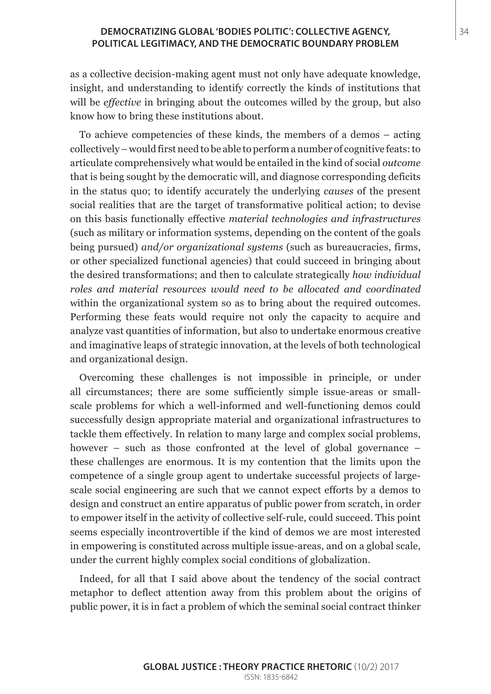#### **DEMOCRATIZING GLOBAL 'BODIES POLITIC': COLLECTIVE AGENCY,** 34 **POLITICAL LEGITIMACY, AND THE DEMOCRATIC BOUNDARY PROBLEM**

as a collective decision-making agent must not only have adequate knowledge, insight, and understanding to identify correctly the kinds of institutions that will be *effective* in bringing about the outcomes willed by the group, but also know how to bring these institutions about.

To achieve competencies of these kinds, the members of a demos – acting collectively – would first need to be able to perform a number of cognitive feats: to articulate comprehensively what would be entailed in the kind of social *outcome* that is being sought by the democratic will, and diagnose corresponding deficits in the status quo; to identify accurately the underlying *causes* of the present social realities that are the target of transformative political action; to devise on this basis functionally effective *material technologies and infrastructures*  (such as military or information systems, depending on the content of the goals being pursued) *and/or organizational systems* (such as bureaucracies, firms, or other specialized functional agencies) that could succeed in bringing about the desired transformations; and then to calculate strategically *how individual roles and material resources would need to be allocated and coordinated* within the organizational system so as to bring about the required outcomes. Performing these feats would require not only the capacity to acquire and analyze vast quantities of information, but also to undertake enormous creative and imaginative leaps of strategic innovation, at the levels of both technological and organizational design.

Overcoming these challenges is not impossible in principle, or under all circumstances; there are some sufficiently simple issue-areas or smallscale problems for which a well-informed and well-functioning demos could successfully design appropriate material and organizational infrastructures to tackle them effectively. In relation to many large and complex social problems, however – such as those confronted at the level of global governance – these challenges are enormous. It is my contention that the limits upon the competence of a single group agent to undertake successful projects of largescale social engineering are such that we cannot expect efforts by a demos to design and construct an entire apparatus of public power from scratch, in order to empower itself in the activity of collective self-rule, could succeed. This point seems especially incontrovertible if the kind of demos we are most interested in empowering is constituted across multiple issue-areas, and on a global scale, under the current highly complex social conditions of globalization.

Indeed, for all that I said above about the tendency of the social contract metaphor to deflect attention away from this problem about the origins of public power, it is in fact a problem of which the seminal social contract thinker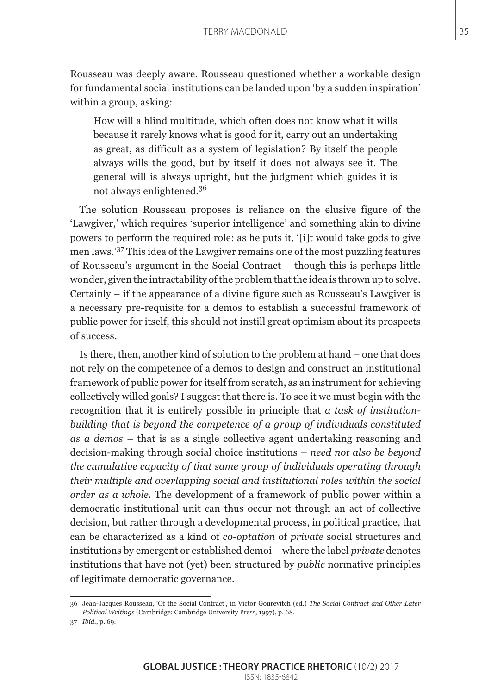Rousseau was deeply aware. Rousseau questioned whether a workable design for fundamental social institutions can be landed upon 'by a sudden inspiration' within a group, asking:

How will a blind multitude, which often does not know what it wills because it rarely knows what is good for it, carry out an undertaking as great, as difficult as a system of legislation? By itself the people always wills the good, but by itself it does not always see it. The general will is always upright, but the judgment which guides it is not always enlightened.<sup>36</sup>

The solution Rousseau proposes is reliance on the elusive figure of the 'Lawgiver,' which requires 'superior intelligence' and something akin to divine powers to perform the required role: as he puts it, '[i]t would take gods to give men laws.'37 This idea of the Lawgiver remains one of the most puzzling features of Rousseau's argument in the Social Contract – though this is perhaps little wonder, given the intractability of the problem that the idea is thrown up to solve. Certainly – if the appearance of a divine figure such as Rousseau's Lawgiver is a necessary pre-requisite for a demos to establish a successful framework of public power for itself, this should not instill great optimism about its prospects of success.

Is there, then, another kind of solution to the problem at hand – one that does not rely on the competence of a demos to design and construct an institutional framework of public power for itself from scratch, as an instrument for achieving collectively willed goals? I suggest that there is. To see it we must begin with the recognition that it is entirely possible in principle that *a task of institutionbuilding that is beyond the competence of a group of individuals constituted as a demos –* that is as a single collective agent undertaking reasoning and decision-making through social choice institutions *– need not also be beyond the cumulative capacity of that same group of individuals operating through their multiple and overlapping social and institutional roles within the social order as a whole.* The development of a framework of public power within a democratic institutional unit can thus occur not through an act of collective decision, but rather through a developmental process, in political practice, that can be characterized as a kind of *co-optation* of *private* social structures and institutions by emergent or established demoi – where the label *private* denotes institutions that have not (yet) been structured by *public* normative principles of legitimate democratic governance.

<sup>36</sup> Jean-Jacques Rousseau, 'Of the Social Contract', in Victor Gourevitch (ed.) *The Social Contract and Other Later Political Writings* (Cambridge: Cambridge University Press, 1997), p. 68.

<sup>37</sup> *Ibid*., p. 69.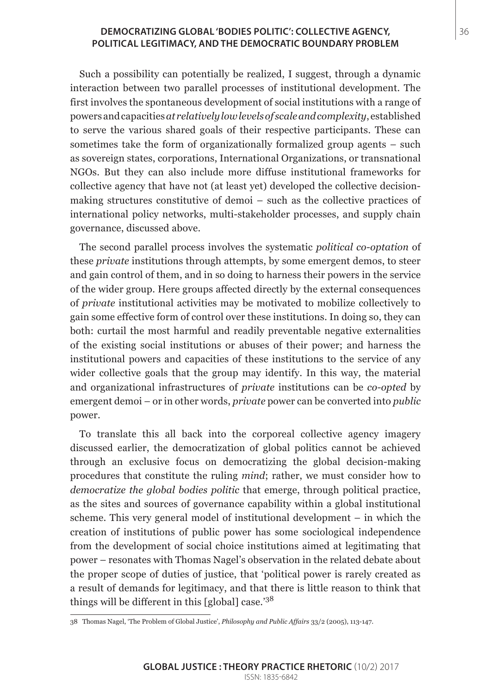#### **DEMOCRATIZING GLOBAL 'BODIES POLITIC': COLLECTIVE AGENCY,** 36 **POLITICAL LEGITIMACY, AND THE DEMOCRATIC BOUNDARY PROBLEM**

Such a possibility can potentially be realized, I suggest, through a dynamic interaction between two parallel processes of institutional development. The first involves the spontaneous development of social institutions with a range of powers and capacities *at relatively low levels of scale and complexity*, established to serve the various shared goals of their respective participants. These can sometimes take the form of organizationally formalized group agents – such as sovereign states, corporations, International Organizations, or transnational NGOs. But they can also include more diffuse institutional frameworks for collective agency that have not (at least yet) developed the collective decisionmaking structures constitutive of demoi – such as the collective practices of international policy networks, multi-stakeholder processes, and supply chain governance, discussed above.

The second parallel process involves the systematic *political co-optation* of these *private* institutions through attempts, by some emergent demos, to steer and gain control of them, and in so doing to harness their powers in the service of the wider group. Here groups affected directly by the external consequences of *private* institutional activities may be motivated to mobilize collectively to gain some effective form of control over these institutions. In doing so, they can both: curtail the most harmful and readily preventable negative externalities of the existing social institutions or abuses of their power; and harness the institutional powers and capacities of these institutions to the service of any wider collective goals that the group may identify. In this way, the material and organizational infrastructures of *private* institutions can be *co-opted* by emergent demoi – or in other words, *private* power can be converted into *public* power.

To translate this all back into the corporeal collective agency imagery discussed earlier, the democratization of global politics cannot be achieved through an exclusive focus on democratizing the global decision-making procedures that constitute the ruling *mind*; rather, we must consider how to *democratize the global bodies politic* that emerge, through political practice, as the sites and sources of governance capability within a global institutional scheme. This very general model of institutional development – in which the creation of institutions of public power has some sociological independence from the development of social choice institutions aimed at legitimating that power – resonates with Thomas Nagel's observation in the related debate about the proper scope of duties of justice, that 'political power is rarely created as a result of demands for legitimacy, and that there is little reason to think that things will be different in this [global] case.'<sup>38</sup>

<sup>38</sup> Thomas Nagel, 'The Problem of Global Justice', *Philosophy and Public Affairs* 33/2 (2005), 113-147.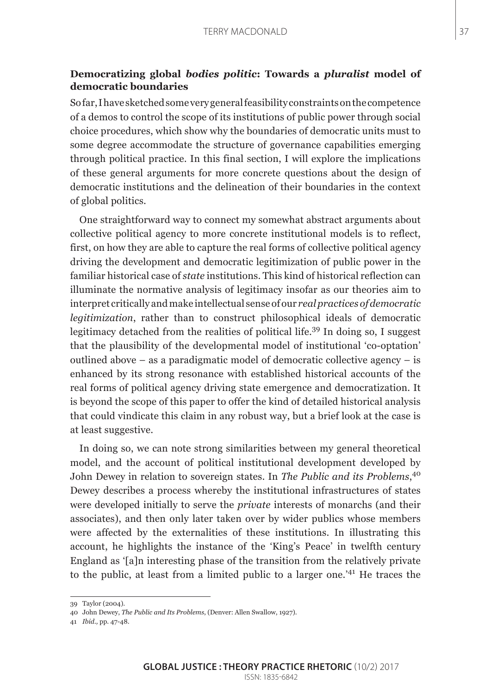### **Democratizing global** *bodies politic***: Towards a** *pluralist* **model of democratic boundaries**

So far, I have sketched some very general feasibility constraints on the competence of a demos to control the scope of its institutions of public power through social choice procedures, which show why the boundaries of democratic units must to some degree accommodate the structure of governance capabilities emerging through political practice. In this final section, I will explore the implications of these general arguments for more concrete questions about the design of democratic institutions and the delineation of their boundaries in the context of global politics.

One straightforward way to connect my somewhat abstract arguments about collective political agency to more concrete institutional models is to reflect, first, on how they are able to capture the real forms of collective political agency driving the development and democratic legitimization of public power in the familiar historical case of *state* institutions. This kind of historical reflection can illuminate the normative analysis of legitimacy insofar as our theories aim to interpret critically and make intellectual sense of our *real practices of democratic legitimization*, rather than to construct philosophical ideals of democratic legitimacy detached from the realities of political life.<sup>39</sup> In doing so, I suggest that the plausibility of the developmental model of institutional 'co-optation' outlined above – as a paradigmatic model of democratic collective agency – is enhanced by its strong resonance with established historical accounts of the real forms of political agency driving state emergence and democratization. It is beyond the scope of this paper to offer the kind of detailed historical analysis that could vindicate this claim in any robust way, but a brief look at the case is at least suggestive.

In doing so, we can note strong similarities between my general theoretical model, and the account of political institutional development developed by John Dewey in relation to sovereign states. In *The Public and its Problems*, 40 Dewey describes a process whereby the institutional infrastructures of states were developed initially to serve the *private* interests of monarchs (and their associates), and then only later taken over by wider publics whose members were affected by the externalities of these institutions. In illustrating this account, he highlights the instance of the 'King's Peace' in twelfth century England as '[a]n interesting phase of the transition from the relatively private to the public, at least from a limited public to a larger one.'41 He traces the

<sup>39</sup> Taylor (2004).

<sup>40</sup> John Dewey, *The Public and Its Problems*, (Denver: Allen Swallow, 1927).

<sup>41</sup> *Ibid.,* pp. 47-48.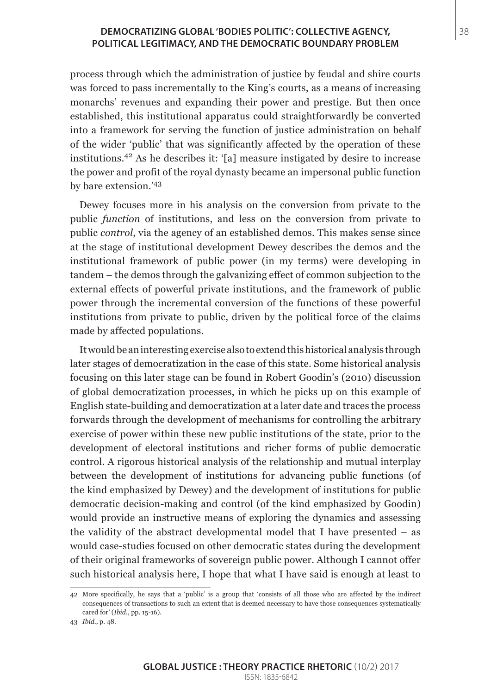#### **DEMOCRATIZING GLOBAL 'BODIES POLITIC': COLLECTIVE AGENCY,** 38 **POLITICAL LEGITIMACY, AND THE DEMOCRATIC BOUNDARY PROBLEM**

process through which the administration of justice by feudal and shire courts was forced to pass incrementally to the King's courts, as a means of increasing monarchs' revenues and expanding their power and prestige. But then once established, this institutional apparatus could straightforwardly be converted into a framework for serving the function of justice administration on behalf of the wider 'public' that was significantly affected by the operation of these institutions.42 As he describes it: '[a] measure instigated by desire to increase the power and profit of the royal dynasty became an impersonal public function by bare extension.'<sup>43</sup>

Dewey focuses more in his analysis on the conversion from private to the public *function* of institutions, and less on the conversion from private to public *control*, via the agency of an established demos. This makes sense since at the stage of institutional development Dewey describes the demos and the institutional framework of public power (in my terms) were developing in tandem – the demos through the galvanizing effect of common subjection to the external effects of powerful private institutions, and the framework of public power through the incremental conversion of the functions of these powerful institutions from private to public, driven by the political force of the claims made by affected populations.

It would be an interesting exercise also to extend this historical analysis through later stages of democratization in the case of this state. Some historical analysis focusing on this later stage can be found in Robert Goodin's (2010) discussion of global democratization processes, in which he picks up on this example of English state-building and democratization at a later date and traces the process forwards through the development of mechanisms for controlling the arbitrary exercise of power within these new public institutions of the state, prior to the development of electoral institutions and richer forms of public democratic control. A rigorous historical analysis of the relationship and mutual interplay between the development of institutions for advancing public functions (of the kind emphasized by Dewey) and the development of institutions for public democratic decision-making and control (of the kind emphasized by Goodin) would provide an instructive means of exploring the dynamics and assessing the validity of the abstract developmental model that I have presented – as would case-studies focused on other democratic states during the development of their original frameworks of sovereign public power. Although I cannot offer such historical analysis here, I hope that what I have said is enough at least to

<sup>42</sup> More specifically, he says that a 'public' is a group that 'consists of all those who are affected by the indirect consequences of transactions to such an extent that is deemed necessary to have those consequences systematically cared for' (*Ibid*., pp. 15-16).

<sup>43</sup> *Ibid*., p. 48.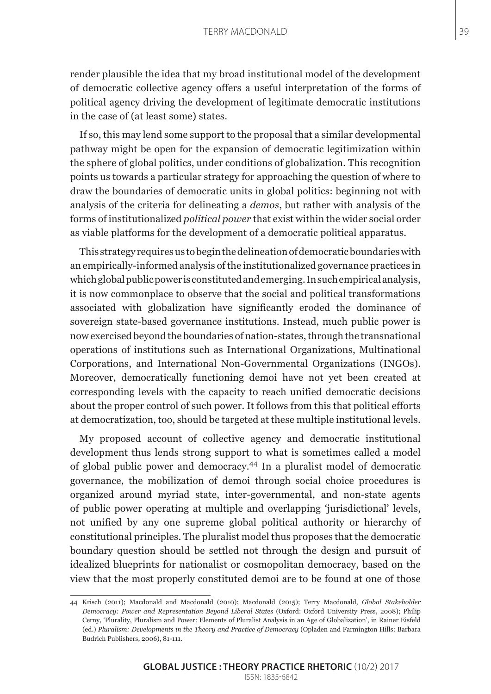render plausible the idea that my broad institutional model of the development of democratic collective agency offers a useful interpretation of the forms of political agency driving the development of legitimate democratic institutions in the case of (at least some) states.

If so, this may lend some support to the proposal that a similar developmental pathway might be open for the expansion of democratic legitimization within the sphere of global politics, under conditions of globalization. This recognition points us towards a particular strategy for approaching the question of where to draw the boundaries of democratic units in global politics: beginning not with analysis of the criteria for delineating a *demos*, but rather with analysis of the forms of institutionalized *political power* that exist within the wider social order as viable platforms for the development of a democratic political apparatus.

This strategy requires us to begin the delineation of democratic boundaries with an empirically-informed analysis of the institutionalized governance practices in which global public power is constituted and emerging. In such empirical analysis, it is now commonplace to observe that the social and political transformations associated with globalization have significantly eroded the dominance of sovereign state-based governance institutions. Instead, much public power is now exercised beyond the boundaries of nation-states, through the transnational operations of institutions such as International Organizations, Multinational Corporations, and International Non-Governmental Organizations (INGOs). Moreover, democratically functioning demoi have not yet been created at corresponding levels with the capacity to reach unified democratic decisions about the proper control of such power. It follows from this that political efforts at democratization, too, should be targeted at these multiple institutional levels.

My proposed account of collective agency and democratic institutional development thus lends strong support to what is sometimes called a model of global public power and democracy.44 In a pluralist model of democratic governance, the mobilization of demoi through social choice procedures is organized around myriad state, inter-governmental, and non-state agents of public power operating at multiple and overlapping 'jurisdictional' levels, not unified by any one supreme global political authority or hierarchy of constitutional principles. The pluralist model thus proposes that the democratic boundary question should be settled not through the design and pursuit of idealized blueprints for nationalist or cosmopolitan democracy, based on the view that the most properly constituted demoi are to be found at one of those

<sup>44</sup> Krisch (2011); Macdonald and Macdonald (2010); Macdonald (2015); Terry Macdonald, *Global Stakeholder Democracy: Power and Representation Beyond Liberal States* (Oxford: Oxford University Press, 2008); Philip Cerny, 'Plurality, Pluralism and Power: Elements of Pluralist Analysis in an Age of Globalization', in Rainer Eisfeld (ed.) *Pluralism: Developments in the Theory and Practice of Democracy* (Opladen and Farmington Hills: Barbara Budrich Publishers, 2006), 81-111.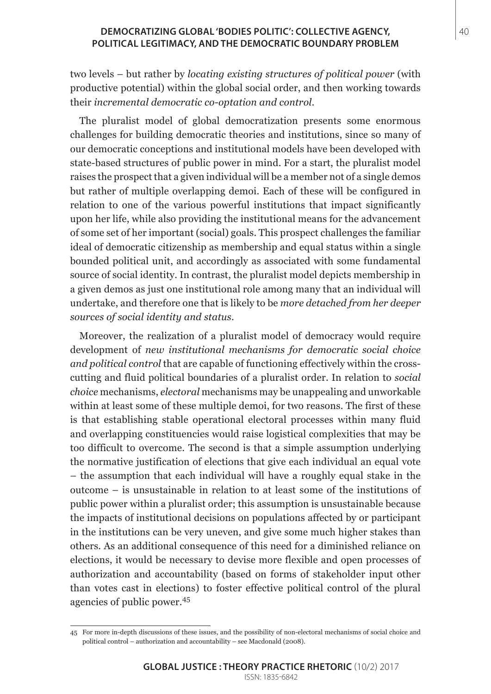#### **DEMOCRATIZING GLOBAL 'BODIES POLITIC': COLLECTIVE AGENCY,** 40 **POLITICAL LEGITIMACY, AND THE DEMOCRATIC BOUNDARY PROBLEM**

two levels – but rather by *locating existing structures of political power* (with productive potential) within the global social order, and then working towards their *incremental democratic co-optation and control.* 

The pluralist model of global democratization presents some enormous challenges for building democratic theories and institutions, since so many of our democratic conceptions and institutional models have been developed with state-based structures of public power in mind. For a start, the pluralist model raises the prospect that a given individual will be a member not of a single demos but rather of multiple overlapping demoi. Each of these will be configured in relation to one of the various powerful institutions that impact significantly upon her life, while also providing the institutional means for the advancement of some set of her important (social) goals. This prospect challenges the familiar ideal of democratic citizenship as membership and equal status within a single bounded political unit, and accordingly as associated with some fundamental source of social identity. In contrast, the pluralist model depicts membership in a given demos as just one institutional role among many that an individual will undertake, and therefore one that is likely to be *more detached from her deeper sources of social identity and status*.

Moreover, the realization of a pluralist model of democracy would require development of *new institutional mechanisms for democratic social choice and political control* that are capable of functioning effectively within the crosscutting and fluid political boundaries of a pluralist order. In relation to *social choice* mechanisms, *electoral* mechanisms may be unappealing and unworkable within at least some of these multiple demoi, for two reasons. The first of these is that establishing stable operational electoral processes within many fluid and overlapping constituencies would raise logistical complexities that may be too difficult to overcome. The second is that a simple assumption underlying the normative justification of elections that give each individual an equal vote – the assumption that each individual will have a roughly equal stake in the outcome – is unsustainable in relation to at least some of the institutions of public power within a pluralist order; this assumption is unsustainable because the impacts of institutional decisions on populations affected by or participant in the institutions can be very uneven, and give some much higher stakes than others. As an additional consequence of this need for a diminished reliance on elections, it would be necessary to devise more flexible and open processes of authorization and accountability (based on forms of stakeholder input other than votes cast in elections) to foster effective political control of the plural agencies of public power.<sup>45</sup>

<sup>45</sup> For more in-depth discussions of these issues, and the possibility of non-electoral mechanisms of social choice and political control – authorization and accountability – see Macdonald (2008).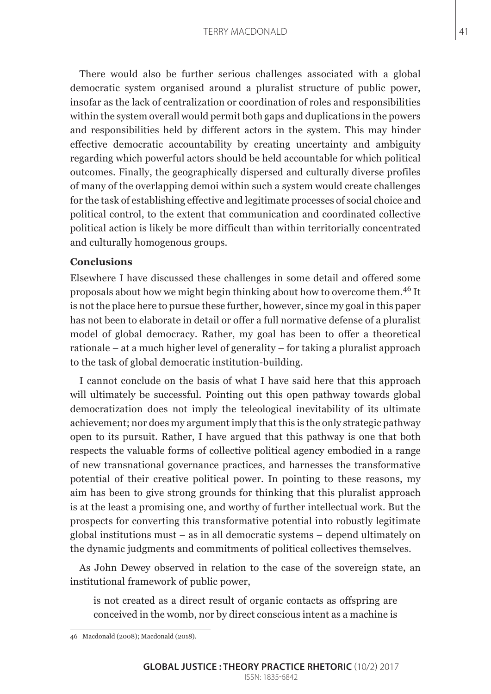There would also be further serious challenges associated with a global democratic system organised around a pluralist structure of public power, insofar as the lack of centralization or coordination of roles and responsibilities within the system overall would permit both gaps and duplications in the powers and responsibilities held by different actors in the system. This may hinder effective democratic accountability by creating uncertainty and ambiguity regarding which powerful actors should be held accountable for which political outcomes. Finally, the geographically dispersed and culturally diverse profiles of many of the overlapping demoi within such a system would create challenges for the task of establishing effective and legitimate processes of social choice and political control, to the extent that communication and coordinated collective political action is likely be more difficult than within territorially concentrated and culturally homogenous groups.

### **Conclusions**

Elsewhere I have discussed these challenges in some detail and offered some proposals about how we might begin thinking about how to overcome them.46 It is not the place here to pursue these further, however, since my goal in this paper has not been to elaborate in detail or offer a full normative defense of a pluralist model of global democracy. Rather, my goal has been to offer a theoretical rationale – at a much higher level of generality – for taking a pluralist approach to the task of global democratic institution-building.

I cannot conclude on the basis of what I have said here that this approach will ultimately be successful. Pointing out this open pathway towards global democratization does not imply the teleological inevitability of its ultimate achievement; nor does my argument imply that this is the only strategic pathway open to its pursuit. Rather, I have argued that this pathway is one that both respects the valuable forms of collective political agency embodied in a range of new transnational governance practices, and harnesses the transformative potential of their creative political power. In pointing to these reasons, my aim has been to give strong grounds for thinking that this pluralist approach is at the least a promising one, and worthy of further intellectual work. But the prospects for converting this transformative potential into robustly legitimate global institutions must – as in all democratic systems – depend ultimately on the dynamic judgments and commitments of political collectives themselves.

As John Dewey observed in relation to the case of the sovereign state, an institutional framework of public power,

is not created as a direct result of organic contacts as offspring are conceived in the womb, nor by direct conscious intent as a machine is

<sup>46</sup> Macdonald (2008); Macdonald (2018).